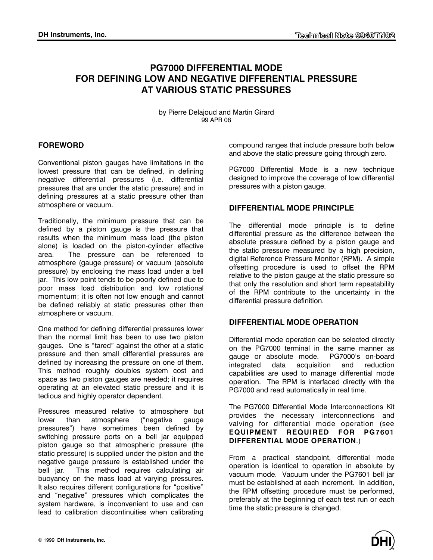# **PG7000 DIFFERENTIAL MODE FOR DEFINING LOW AND NEGATIVE DIFFERENTIAL PRESSURE AT VARIOUS STATIC PRESSURES**

by Pierre Delajoud and Martin Girard 99 APR 08

## **FOREWORD**

Conventional piston gauges have limitations in the lowest pressure that can be defined, in defining negative differential pressures (i.e. differential pressures that are under the static pressure) and in defining pressures at a static pressure other than atmosphere or vacuum.

Traditionally, the minimum pressure that can be defined by a piston gauge is the pressure that results when the minimum mass load (the piston alone) is loaded on the piston-cylinder effective area. The pressure can be referenced to atmosphere (gauge pressure) or vacuum (absolute pressure) by enclosing the mass load under a bell jar. This low point tends to be poorly defined due to poor mass load distribution and low rotational momentum; it is often not low enough and cannot be defined reliably at static pressures other than atmosphere or vacuum.

One method for defining differential pressures lower than the normal limit has been to use two piston gauges. One is "tared" against the other at a static pressure and then small differential pressures are defined by increasing the pressure on one of them. This method roughly doubles system cost and space as two piston gauges are needed; it requires operating at an elevated static pressure and it is tedious and highly operator dependent.

Pressures measured relative to atmosphere but lower than atmosphere ("negative gauge pressures") have sometimes been defined by switching pressure ports on a bell jar equipped piston gauge so that atmospheric pressure (the static pressure) is supplied under the piston and the negative gauge pressure is established under the bell jar. This method requires calculating air buoyancy on the mass load at varying pressures. It also requires different configurations for "positive" and "negative" pressures which complicates the system hardware, is inconvenient to use and can lead to calibration discontinuities when calibrating

compound ranges that include pressure both below and above the static pressure going through zero.

PG7000 Differential Mode is a new technique designed to improve the coverage of low differential pressures with a piston gauge.

## **DIFFERENTIAL MODE PRINCIPLE**

The differential mode principle is to define differential pressure as the difference between the absolute pressure defined by a piston gauge and the static pressure measured by a high precision, digital Reference Pressure Monitor (RPM). A simple offsetting procedure is used to offset the RPM relative to the piston gauge at the static pressure so that only the resolution and short term repeatability of the RPM contribute to the uncertainty in the differential pressure definition.

### **DIFFERENTIAL MODE OPERATION**

Differential mode operation can be selected directly on the PG7000 terminal in the same manner as gauge or absolute mode. PG7000's on-board integrated data acquisition and reduction capabilities are used to manage differential mode operation. The RPM is interfaced directly with the PG7000 and read automatically in real time.

The PG7000 Differential Mode Interconnections Kit provides the necessary interconnections and valving for differential mode operation (see **EQUIPMENT REQUIRED FOR PG7601 DIFFERENTIAL MODE OPERATION**.)

From a practical standpoint, differential mode operation is identical to operation in absolute by vacuum mode. Vacuum under the PG7601 bell jar must be established at each increment. In addition, the RPM offsetting procedure must be performed, preferably at the beginning of each test run or each time the static pressure is changed.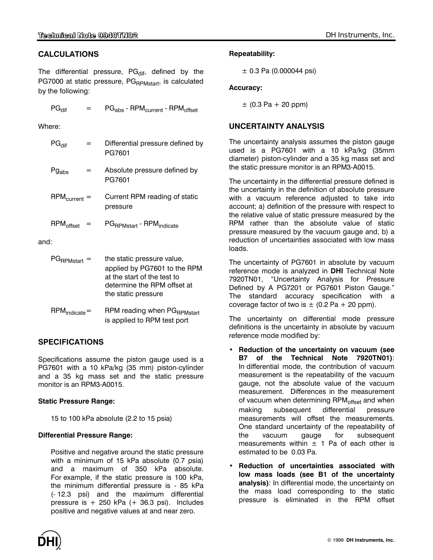## CALCULATIONS Repeatability:

The differential pressure, PG<sub>dif</sub>, defined by the  $\pm 0.3$  Pa (0.000044 psi) PG7000 at static pressure, PG<sub>RPMstart</sub>, is calculated by the following: **Accuracy: Accuracy:** 

$$
PG_{\text{diff}} = PG_{\text{abs}} - \text{RPM}_{\text{curr}}
$$

| $PG_{\text{diff}}$     | Differential pressure defined by<br>PG7601                                                                                                      |
|------------------------|-------------------------------------------------------------------------------------------------------------------------------------------------|
| $Pg_{\rm abs}$         | Absolute pressure defined by<br>PG7601                                                                                                          |
| $RPM_{\text{current}}$ | Current RPM reading of static<br>pressure                                                                                                       |
| RPM <sub>offset</sub>  | PG <sub>RPMstart</sub> - RPM <sub>indicate</sub>                                                                                                |
| and:                   |                                                                                                                                                 |
| PG <sub>RPMstart</sub> | the static pressure value,<br>applied by PG7601 to the RPM<br>at the start of the test to<br>determine the RPM offset at<br>the static pressure |

| $\mathsf{RPM}_{\mathsf{indicate}}=$ | RPM reading when PG <sub>RPMstart</sub> |
|-------------------------------------|-----------------------------------------|
|                                     | is applied to RPM test port             |

Specifications assume the piston gauge used is a PG7601 with a 10 kPa/kg (35 mm) piston-cylinder and a 35 kg mass set and the static pressure monitor is an RPM3-A0015.

## **Static Pressure Range:**

15 to 100 kPa absolute (2.2 to 15 psia)

### **Differential Pressure Range:**

Positive and negative around the static pressure with a minimum of 15 kPa absolute (0.7 psia) and a maximum of 350 kPa absolute. For example, if the static pressure is 100 kPa, the minimum differential pressure is - 85 kPa (- 12.3 psi) and the maximum differential pressure is  $+250$  kPa ( $+36.3$  psi). Includes positive and negative values at and near zero.

 $\pm$  (0.3 Pa + 20 ppm)  $\pm$  (0.3 Pa + 20 ppm)

## Where: **UNCERTAINTY ANALYSIS**

The uncertainty analysis assumes the piston gauge used is a PG7601 with a 10 kPa/kg (35mm diameter) piston-cylinder and a 35 kg mass set and the static pressure monitor is an RPM3-A0015.

The uncertainty in the differential pressure defined is the uncertainty in the definition of absolute pressure with a vacuum reference adjusted to take into account; a) definition of the pressure with respect to the relative value of static pressure measured by the RPM rather than the absolute value of static pressure measured by the vacuum gauge and, b) a reduction of uncertainties associated with low mass loads.

The uncertainty of PG7601 in absolute by vacuum reference mode is analyzed in **DHI** Technical Note 7920TN01, "Uncertainty Analysis for Pressure Defined by A PG7201 or PG7601 Piston Gauge." The standard accuracy specification with a coverage factor of two is  $\pm$  (0.2 Pa + 20 ppm).

The uncertainty on differential mode pressure definitions is the uncertainty in absolute by vacuum reference mode modified by: **SPECIFICATIONS** 

- **Reduction of the uncertainty on vacuum (see B7 of the Technical Note 7920TN01)**: In differential mode, the contribution of vacuum measurement is the repeatability of the vacuum gauge, not the absolute value of the vacuum measurement. Differences in the measurement of vacuum when determining RPM<sub>offset</sub> and when making subsequent differential pressure measurements will offset the measurements. One standard uncertainty of the repeatability of the vacuum gauge for subsequent measurements within  $\pm$  1 Pa of each other is estimated to be 0.03 Pa.
- **Reduction of uncertainties associated with low mass loads (see B1 of the uncertainty analysis)**: In differential mode, the uncertainty on the mass load corresponding to the static pressure is eliminated in the RPM offset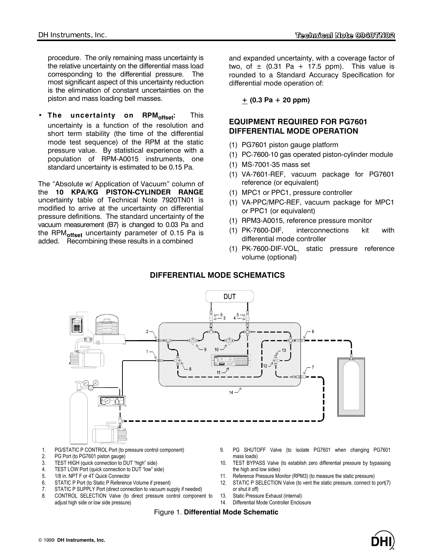procedure. The only remaining mass uncertainty is the relative uncertainty on the differential mass load corresponding to the differential pressure. The most significant aspect of this uncertainty reduction is the elimination of constant uncertainties on the piston and mass loading bell masses.

**• The uncertainty on RPMoffset:** This uncertainty is a function of the resolution and short term stability (the time of the differential mode test sequence) of the RPM at the static pressure value. By statistical experience with a population of RPM-A0015 instruments, one standard uncertainty is estimated to be 0.15 Pa.

The "Absolute w/ Application of Vacuum" column of the **10 KPA/KG PISTON-CYLINDER RANGE** uncertainty table of Technical Note 7920TN01 is modified to arrive at the uncertainty on differential pressure definitions. The standard uncertainty of the vacuum measurement (B7) is changed to 0.03 Pa and the RPM**offset** uncertainty parameter of 0.15 Pa is added. Recombining these results in a combined

and expanded uncertainty, with a coverage factor of two, of  $\pm$  (0.31 Pa + 17.5 ppm). This value is rounded to a Standard Accuracy Specification for differential mode operation of:

**+ (0.3 Pa + 20 ppm)** 

## **EQUIPMENT REQUIRED FOR PG7601 DIFFERENTIAL MODE OPERATION**

- (1) PG7601 piston gauge platform
- (1) PC-7600-10 gas operated piston-cylinder module
- (1) MS-7001-35 mass set
- (1) VA-7601-REF, vacuum package for PG7601 reference (or equivalent)
- (1) MPC1 or PPC1, pressure controller
- (1) VA-PPC/MPC-REF, vacuum package for MPC1 or PPC1 (or equivalent)
- (1) RPM3-A0015, reference pressure monitor
- (1) PK-7600-DIF, interconnections kit with differential mode controller
- (1) PK-7600-DIF-VOL, static pressure reference volume (optional)

## **DIFFERENTIAL MODE SCHEMATICS**



- 1. PG/STATIC P CONTROL Port (to pressure control component)
- 2. PG Port (to PG7601 piston gauge)
- 3. TEST HIGH (quick connection to DUT "high" side)
- 4. TEST LOW Port (quick connection to DUT "low" side)
- 5. 1/8 in. NPT F or 4T Quick Connector
- 6. STATIC P Port (to Static P Reference Volume if present)
- 7. STATIC P SUPPLY Port (direct connection to vacuum supply if needed)
- 8. CONTROL SELECTION Valve (to direct pressure control component to adjust high side or low side pressure)
- 9. PG SHUTOFF Valve (to isolate PG7601 when changing PG7601 mass loads)
- 10. TEST BYPASS Valve (to establish zero differential pressure by bypassing the high and low sides)
- 11. Reference Pressure Monitor (RPM3) (to measure the static pressure)
- 12. STATIC P SELECTION Valve (to vent the static pressure, connect to port(7) or shut it off)
- 13. Static Pressure Exhaust (internal)
	- 14. Differential Mode Controller Enclosure

Figure 1. **Differential Mode Schematic**